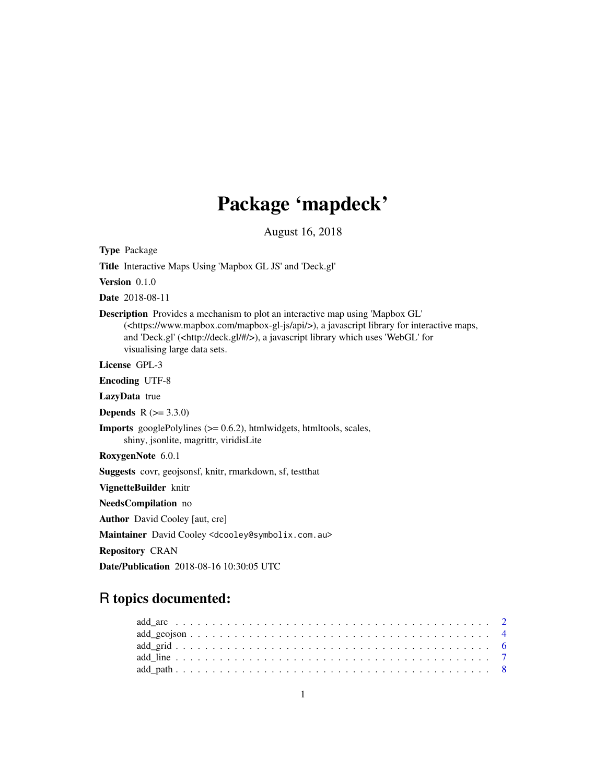# Package 'mapdeck'

August 16, 2018

Type Package

Title Interactive Maps Using 'Mapbox GL JS' and 'Deck.gl'

Version 0.1.0

Date 2018-08-11

Description Provides a mechanism to plot an interactive map using 'Mapbox GL' (<https://www.mapbox.com/mapbox-gl-js/api/>), a javascript library for interactive maps, and 'Deck.gl' (<http://deck.gl/#/>), a javascript library which uses 'WebGL' for visualising large data sets.

License GPL-3

Encoding UTF-8

LazyData true

**Depends** R  $(>= 3.3.0)$ 

Imports googlePolylines (>= 0.6.2), htmlwidgets, htmltools, scales, shiny, jsonlite, magrittr, viridisLite

RoxygenNote 6.0.1

Suggests covr, geojsonsf, knitr, rmarkdown, sf, testthat

VignetteBuilder knitr

NeedsCompilation no

Author David Cooley [aut, cre]

Maintainer David Cooley <dcooley@symbolix.com.au>

Repository CRAN

Date/Publication 2018-08-16 10:30:05 UTC

# R topics documented: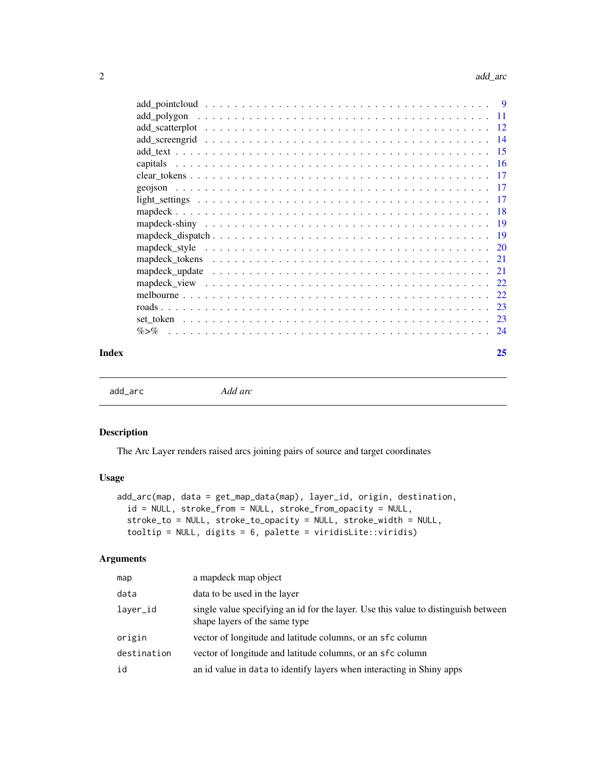<span id="page-1-0"></span>

| -9   |
|------|
| -11  |
| - 12 |
|      |
| - 15 |
|      |
| -17  |
|      |
|      |
|      |
| - 19 |
|      |
|      |
|      |
| 21   |
|      |
|      |
| 23   |
|      |
| 24   |
|      |

#### **Index** [25](#page-24-0)

add\_arc *Add arc*

# Description

The Arc Layer renders raised arcs joining pairs of source and target coordinates

# Usage

```
add_arc(map, data = get_map_data(map), layer_id, origin, destination,
 id = NULL, stroke_from = NULL, stroke_from_opacity = NULL,
  stroke_to = NULL, stroke_to_opacity = NULL, stroke_width = NULL,
  tooltip = NULL, digits = 6, palette = viridisLite::viridis)
```

| map         | a map object                                                                                                        |
|-------------|---------------------------------------------------------------------------------------------------------------------|
| data        | data to be used in the layer                                                                                        |
| laver_id    | single value specifying an id for the layer. Use this value to distinguish between<br>shape layers of the same type |
| origin      | vector of longitude and latitude columns, or an sfc column                                                          |
| destination | vector of longitude and latitude columns, or an sfc column                                                          |
| id          | an id value in data to identify layers when interacting in Shiny apps                                               |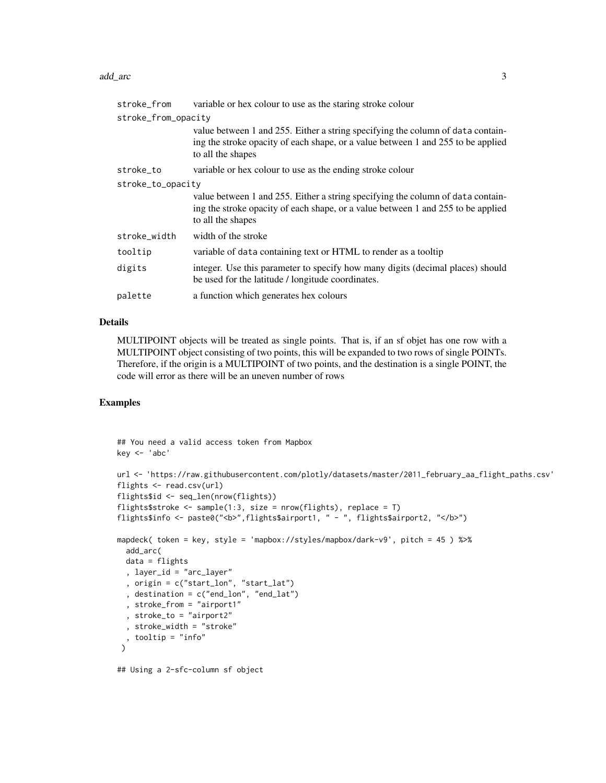#### add\_arc 3

| stroke_from         | variable or hex colour to use as the staring stroke colour                                                                                                                               |
|---------------------|------------------------------------------------------------------------------------------------------------------------------------------------------------------------------------------|
| stroke_from_opacity |                                                                                                                                                                                          |
|                     | value between 1 and 255. Either a string specifying the column of data contain-<br>ing the stroke opacity of each shape, or a value between 1 and 255 to be applied<br>to all the shapes |
| stroke_to           | variable or hex colour to use as the ending stroke colour                                                                                                                                |
| stroke_to_opacity   |                                                                                                                                                                                          |
|                     | value between 1 and 255. Either a string specifying the column of data contain-<br>ing the stroke opacity of each shape, or a value between 1 and 255 to be applied<br>to all the shapes |
| stroke_width        | width of the stroke                                                                                                                                                                      |
| tooltip             | variable of data containing text or HTML to render as a tooltip                                                                                                                          |
| digits              | integer. Use this parameter to specify how many digits (decimal places) should<br>be used for the latitude / longitude coordinates.                                                      |
| palette             | a function which generates hex colours                                                                                                                                                   |

#### Details

MULTIPOINT objects will be treated as single points. That is, if an sf objet has one row with a MULTIPOINT object consisting of two points, this will be expanded to two rows of single POINTs. Therefore, if the origin is a MULTIPOINT of two points, and the destination is a single POINT, the code will error as there will be an uneven number of rows

# Examples

```
## You need a valid access token from Mapbox
key <- 'abc'
url <- 'https://raw.githubusercontent.com/plotly/datasets/master/2011_february_aa_flight_paths.csv'
flights <- read.csv(url)
flights$id <- seq_len(nrow(flights))
flights$stroke <- sample(1:3, size = nrow(flights), replace = T)
flights$info <- paste0("<b>",flights$airport1, " - ", flights$airport2, "</b>")
mapdeck( token = key, style = 'mapbox://styles/mapbox/dark-v9', pitch = 45 ) %>%
  add_arc(
 data = flights
  , layer_id = "arc_layer"
  , origin = c("start_lon", "start_lat")
  , destination = c("end_lon", "end_lat")
  , stroke_from = "airport1"
  , stroke_to = "airport2"
  , stroke_width = "stroke"
  , tooltip = "info"
 \lambda
```
## Using a 2-sfc-column sf object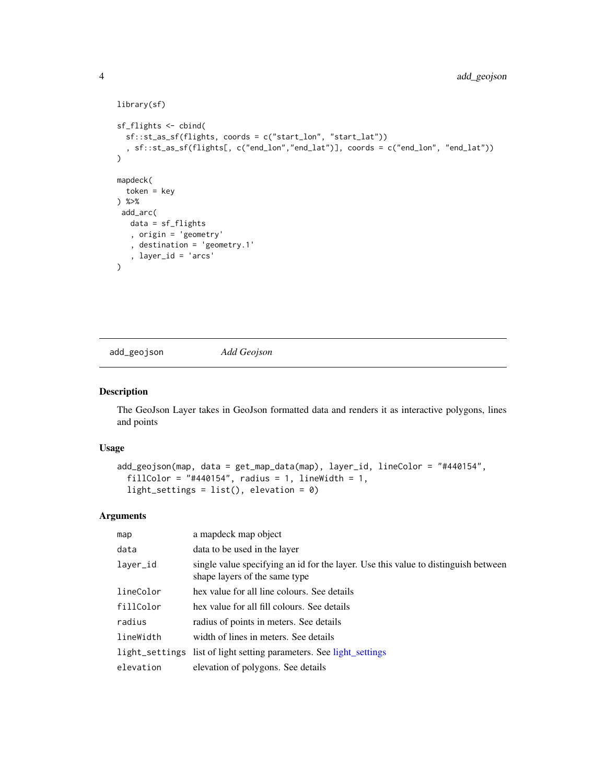```
library(sf)
sf_flights <- cbind(
  sf::st_as_sf(flights, coords = c("start_lon", "start_lat"))
  , sf::st_as_sf(flights[, c("end_lon","end_lat")], coords = c("end_lon", "end_lat"))
\overline{)}mapdeck(
  token = key
) %>%
 add_arc(
  data = sf_flights
   , origin = 'geometry'
   , destination = 'geometry.1'
   , layer_id = 'arcs'
)
```
<span id="page-3-1"></span>add\_geojson *Add Geojson*

#### Description

The GeoJson Layer takes in GeoJson formatted data and renders it as interactive polygons, lines and points

#### Usage

```
add_geojson(map, data = get_map_data(map), layer_id, lineColor = "#440154",
  fillColor = "#440154", radius = 1, lineWidth = 1,
  light_settings = list(), elevation = 0)
```

| map       | a mapdeck map object                                                                                                |
|-----------|---------------------------------------------------------------------------------------------------------------------|
| data      | data to be used in the layer                                                                                        |
| layer_id  | single value specifying an id for the layer. Use this value to distinguish between<br>shape layers of the same type |
| lineColor | hex value for all line colours. See details                                                                         |
| fillColor | hex value for all fill colours. See details                                                                         |
| radius    | radius of points in meters. See details                                                                             |
| lineWidth | width of lines in meters. See details                                                                               |
|           | light_settings list of light setting parameters. See light_settings                                                 |
| elevation | elevation of polygons. See details                                                                                  |

<span id="page-3-0"></span>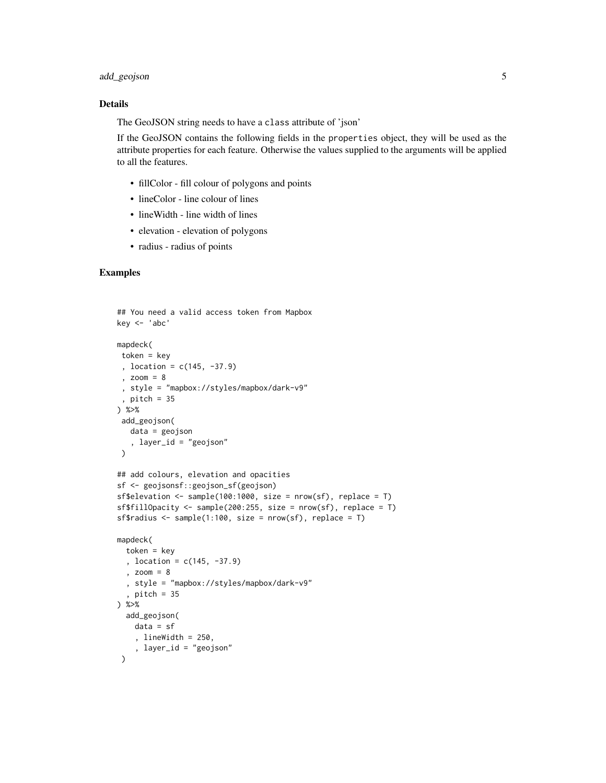# add\_geojson 5

#### Details

The GeoJSON string needs to have a class attribute of 'json'

If the GeoJSON contains the following fields in the properties object, they will be used as the attribute properties for each feature. Otherwise the values supplied to the arguments will be applied to all the features.

- fillColor fill colour of polygons and points
- lineColor line colour of lines
- lineWidth line width of lines
- elevation elevation of polygons
- radius radius of points

```
## You need a valid access token from Mapbox
key <- 'abc'
mapdeck(
token = key
 , location = c(145, -37.9)
 , zoom = 8
 , style = "mapbox://styles/mapbox/dark-v9"
 , pitch = 35
) %>%
 add_geojson(
   data = geojson
   , layer_id = "geojson"
 )
## add colours, elevation and opacities
sf <- geojsonsf::geojson_sf(geojson)
sf$elevation <- sample(100:1000, size = nrow(sf), replace = T)
sf$fillOpacity <- sample(200:255, size = nrow(sf), replace = T)
sf$radius <- sample(1:100, size = nrow(sf), replace = T)
mapdeck(
  token = key, location = c(145, -37.9)
  , zoom = 8
  , style = "mapbox://styles/mapbox/dark-v9"
  , pitch = 35) %>%
  add_geojson(
   data = sf
    , lineWidth = 250,
    , layer_id = "geojson"
 \lambda
```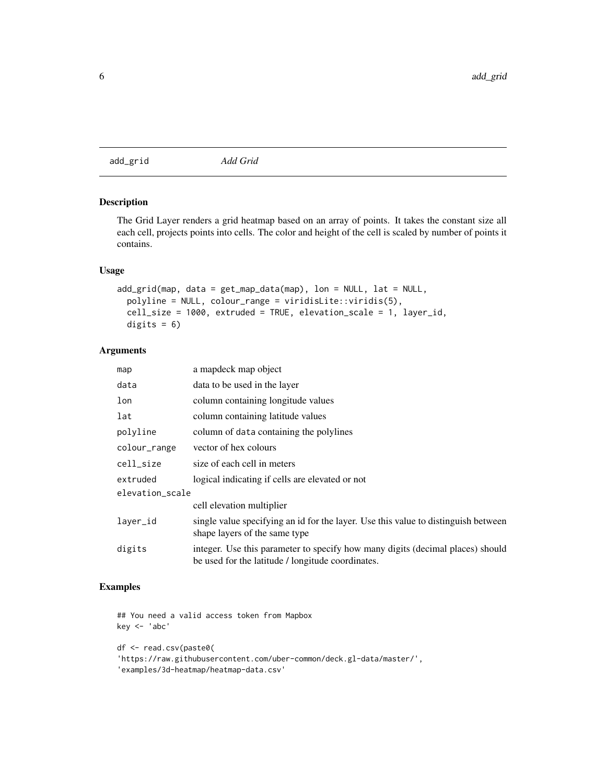<span id="page-5-0"></span>add\_grid *Add Grid*

# Description

The Grid Layer renders a grid heatmap based on an array of points. It takes the constant size all each cell, projects points into cells. The color and height of the cell is scaled by number of points it contains.

#### Usage

```
add\_grid(map, data = get\_map_data(map), lon = NULL, lat = NULL,polyline = NULL, colour_range = viridisLite::viridis(5),
 cell_size = 1000, extruded = TRUE, elevation_scale = 1, layer_id,
 digits = 6)
```
# Arguments

| map             | a mapdeck map object                                                                                                                |
|-----------------|-------------------------------------------------------------------------------------------------------------------------------------|
| data            | data to be used in the layer                                                                                                        |
| lon             | column containing longitude values                                                                                                  |
| lat             | column containing latitude values                                                                                                   |
| polyline        | column of data containing the polylines                                                                                             |
| colour_range    | vector of hex colours                                                                                                               |
| cell_size       | size of each cell in meters                                                                                                         |
| extruded        | logical indicating if cells are elevated or not                                                                                     |
| elevation_scale |                                                                                                                                     |
|                 | cell elevation multiplier                                                                                                           |
| laver_id        | single value specifying an id for the layer. Use this value to distinguish between<br>shape layers of the same type                 |
| digits          | integer. Use this parameter to specify how many digits (decimal places) should<br>be used for the latitude / longitude coordinates. |

# Examples

## You need a valid access token from Mapbox key <- 'abc' df <- read.csv(paste0( 'https://raw.githubusercontent.com/uber-common/deck.gl-data/master/', 'examples/3d-heatmap/heatmap-data.csv'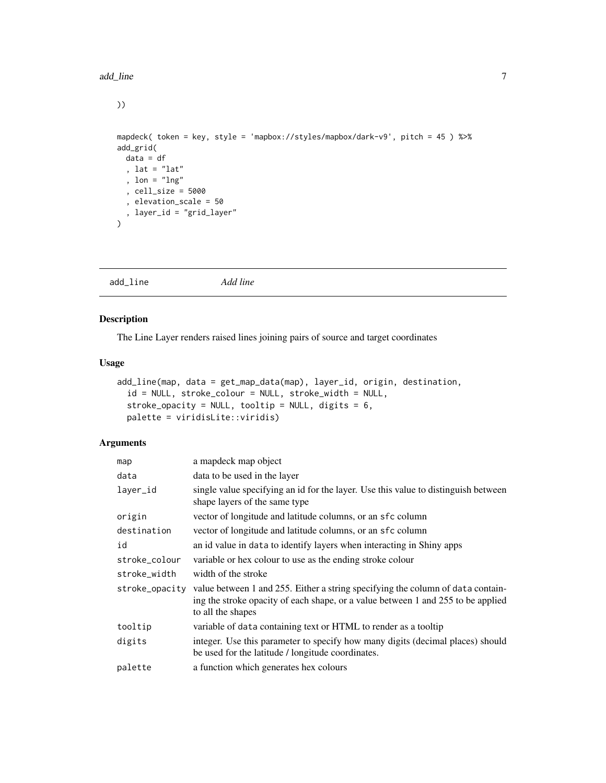<span id="page-6-0"></span>))

```
mapdeck( token = key, style = 'mapbox://styles/mapbox/dark-v9', pitch = 45 ) %>%
add_grid(
 data = df
 , lat = "lat"
  , lon = "lng"
  , cell_size = 5000
  , elevation_scale = 50
  , layer_id = "grid_layer"
\overline{)}
```
add\_line *Add line*

# Description

The Line Layer renders raised lines joining pairs of source and target coordinates

#### Usage

```
add_line(map, data = get_map_data(map), layer_id, origin, destination,
  id = NULL, stroke_colour = NULL, stroke_width = NULL,
  stroke_opacity = NULL, tooltip = NULL, digits = 6,
 palette = viridisLite::viridis)
```

| map            | a mapdeck map object                                                                                                                                                                     |
|----------------|------------------------------------------------------------------------------------------------------------------------------------------------------------------------------------------|
| data           | data to be used in the layer                                                                                                                                                             |
| layer_id       | single value specifying an id for the layer. Use this value to distinguish between<br>shape layers of the same type                                                                      |
| origin         | vector of longitude and latitude columns, or an sfc column                                                                                                                               |
| destination    | vector of longitude and latitude columns, or an sfc column                                                                                                                               |
| id             | an id value in data to identify layers when interacting in Shiny apps                                                                                                                    |
| stroke_colour  | variable or hex colour to use as the ending stroke colour                                                                                                                                |
| stroke_width   | width of the stroke                                                                                                                                                                      |
| stroke_opacity | value between 1 and 255. Either a string specifying the column of data contain-<br>ing the stroke opacity of each shape, or a value between 1 and 255 to be applied<br>to all the shapes |
| tooltip        | variable of data containing text or HTML to render as a tooltip                                                                                                                          |
| digits         | integer. Use this parameter to specify how many digits (decimal places) should<br>be used for the latitude / longitude coordinates.                                                      |
| palette        | a function which generates hex colours                                                                                                                                                   |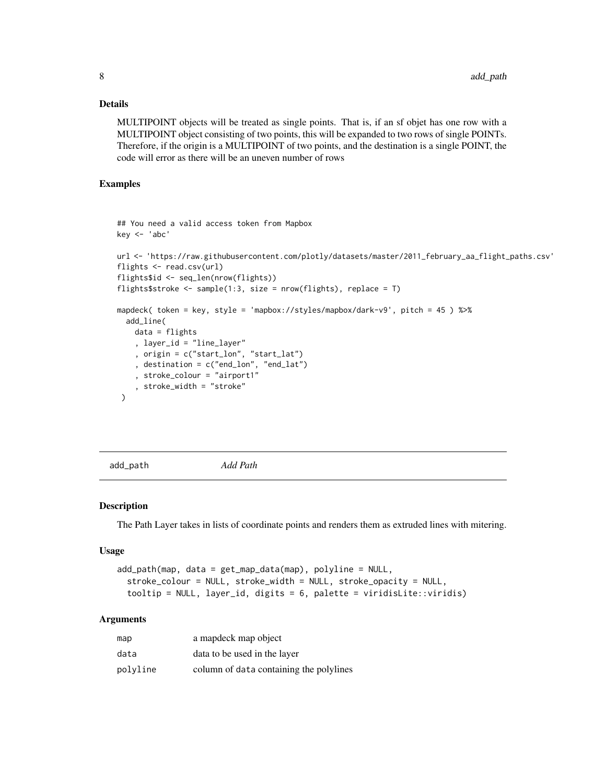#### <span id="page-7-0"></span>Details

MULTIPOINT objects will be treated as single points. That is, if an sf objet has one row with a MULTIPOINT object consisting of two points, this will be expanded to two rows of single POINTs. Therefore, if the origin is a MULTIPOINT of two points, and the destination is a single POINT, the code will error as there will be an uneven number of rows

#### Examples

```
## You need a valid access token from Mapbox
key <- 'abc'
url <- 'https://raw.githubusercontent.com/plotly/datasets/master/2011_february_aa_flight_paths.csv'
flights <- read.csv(url)
flights$id <- seq_len(nrow(flights))
flights$stroke <- sample(1:3, size = nrow(flights), replace = T)
mapdeck( token = key, style = 'mapbox://styles/mapbox/dark-v9', pitch = 45 ) %>%
 add_line(
   data = flights
    , layer_id = "line_layer"
    , origin = c("start_lon", "start_lat")
    , destination = c("end_lon", "end_lat")
    , stroke_colour = "airport1"
    , stroke_width = "stroke"
 )
```
add\_path *Add Path*

#### Description

The Path Layer takes in lists of coordinate points and renders them as extruded lines with mitering.

#### Usage

```
add_path(map, data = get_map_data(map), polyline = NULL,
  stroke_colour = NULL, stroke_width = NULL, stroke_opacity = NULL,
  tooltip = NULL, layer_id, digits = 6, palette = viridisLite::viridis)
```

| map      | a mapdeck map object                    |
|----------|-----------------------------------------|
| data     | data to be used in the layer            |
| polyline | column of data containing the polylines |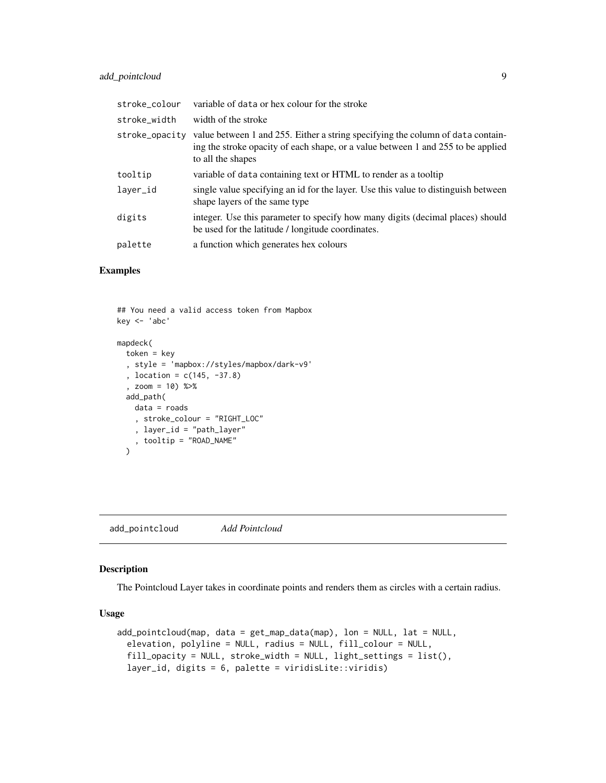<span id="page-8-0"></span>

| stroke colour  | variable of data or hex colour for the stroke                                                                                                                                            |
|----------------|------------------------------------------------------------------------------------------------------------------------------------------------------------------------------------------|
| stroke_width   | width of the stroke                                                                                                                                                                      |
| stroke_opacity | value between 1 and 255. Either a string specifying the column of data contain-<br>ing the stroke opacity of each shape, or a value between 1 and 255 to be applied<br>to all the shapes |
| tooltip        | variable of data containing text or HTML to render as a tooltip                                                                                                                          |
| layer_id       | single value specifying an id for the layer. Use this value to distinguish between<br>shape layers of the same type                                                                      |
| digits         | integer. Use this parameter to specify how many digits (decimal places) should<br>be used for the latitude / longitude coordinates.                                                      |
| palette        | a function which generates hex colours                                                                                                                                                   |

#### Examples

```
## You need a valid access token from Mapbox
key <- 'abc'
mapdeck(
  token = key
  , style = 'mapbox://styles/mapbox/dark-v9'
  , location = c(145, -37.8)
  , zoom = 10) %>%
 add_path(
   data = roads
    , stroke_colour = "RIGHT_LOC"
    , layer_id = "path_layer"
    , tooltip = "ROAD_NAME"
  \lambda
```
<span id="page-8-1"></span>add\_pointcloud *Add Pointcloud*

#### Description

The Pointcloud Layer takes in coordinate points and renders them as circles with a certain radius.

#### Usage

```
add_pointcloud(map, data = get_map_data(map), lon = NULL, lat = NULL,
  elevation, polyline = NULL, radius = NULL, fill_colour = NULL,
  fill_opacity = NULL, stroke_width = NULL, light_settings = list(),
  layer_id, digits = 6, palette = viridisLite::viridis)
```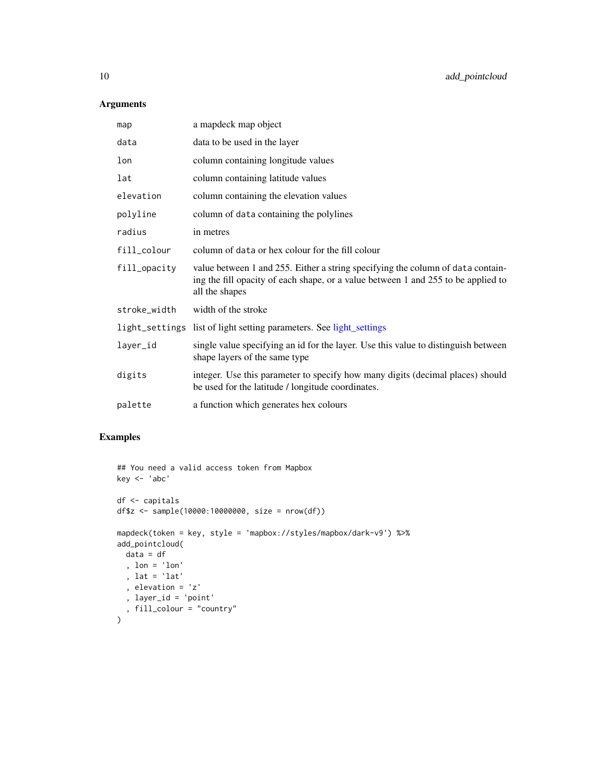# Arguments

| map          | a mapdeck map object                                                                                                                                                                   |
|--------------|----------------------------------------------------------------------------------------------------------------------------------------------------------------------------------------|
| data         | data to be used in the layer                                                                                                                                                           |
| lon          | column containing longitude values                                                                                                                                                     |
| lat          | column containing latitude values                                                                                                                                                      |
| elevation    | column containing the elevation values                                                                                                                                                 |
| polyline     | column of data containing the polylines                                                                                                                                                |
| radius       | in metres                                                                                                                                                                              |
| fill_colour  | column of data or hex colour for the fill colour                                                                                                                                       |
| fill_opacity | value between 1 and 255. Either a string specifying the column of data contain-<br>ing the fill opacity of each shape, or a value between 1 and 255 to be applied to<br>all the shapes |
| stroke_width | width of the stroke                                                                                                                                                                    |
|              | light_settings list of light setting parameters. See light_settings                                                                                                                    |
| layer_id     | single value specifying an id for the layer. Use this value to distinguish between<br>shape layers of the same type                                                                    |
| digits       | integer. Use this parameter to specify how many digits (decimal places) should<br>be used for the latitude / longitude coordinates.                                                    |
| palette      | a function which generates hex colours                                                                                                                                                 |

```
## You need a valid access token from Mapbox
key <- 'abc'
df <- capitals
df$z <- sample(10000:10000000, size = nrow(df))
mapdeck(token = key, style = 'mapbox://styles/mapbox/dark-v9') %>%
add_pointcloud(
 data = df
 , lon = 'lon'
 , lat = 'lat'
  , elevation = 'z'
  , layer_id = 'point'
  , fill_colour = "country"
)
```
<span id="page-9-0"></span>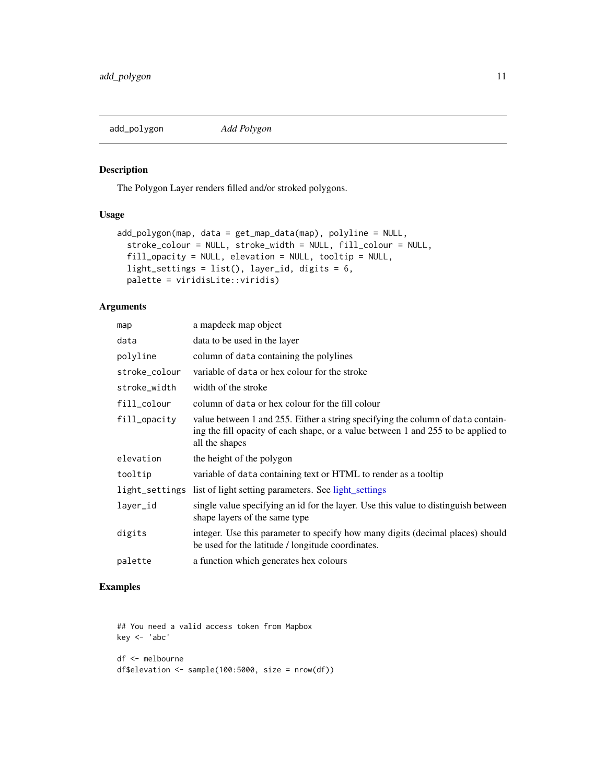<span id="page-10-1"></span><span id="page-10-0"></span>

# Description

The Polygon Layer renders filled and/or stroked polygons.

# Usage

```
add_polygon(map, data = get_map_data(map), polyline = NULL,
  stroke_colour = NULL, stroke_width = NULL, fill_colour = NULL,
 fill_opacity = NULL, elevation = NULL, tooltip = NULL,
  light_settings = list(), layer_id, digits = 6,
 palette = viridisLite::viridis)
```
#### Arguments

| map           | a mapdeck map object                                                                                                                                                                   |
|---------------|----------------------------------------------------------------------------------------------------------------------------------------------------------------------------------------|
| data          | data to be used in the layer                                                                                                                                                           |
| polyline      | column of data containing the polylines                                                                                                                                                |
| stroke_colour | variable of data or hex colour for the stroke                                                                                                                                          |
| stroke_width  | width of the stroke                                                                                                                                                                    |
| fill_colour   | column of data or hex colour for the fill colour                                                                                                                                       |
| fill_opacity  | value between 1 and 255. Either a string specifying the column of data contain-<br>ing the fill opacity of each shape, or a value between 1 and 255 to be applied to<br>all the shapes |
| elevation     | the height of the polygon                                                                                                                                                              |
| tooltip       | variable of data containing text or HTML to render as a tooltip                                                                                                                        |
|               | light_settings list of light setting parameters. See light_settings                                                                                                                    |
| layer_id      | single value specifying an id for the layer. Use this value to distinguish between<br>shape layers of the same type                                                                    |
| digits        | integer. Use this parameter to specify how many digits (decimal places) should<br>be used for the latitude / longitude coordinates.                                                    |
| palette       | a function which generates hex colours                                                                                                                                                 |

# Examples

## You need a valid access token from Mapbox key <- 'abc' df <- melbourne

```
df$elevation <- sample(100:5000, size = nrow(df))
```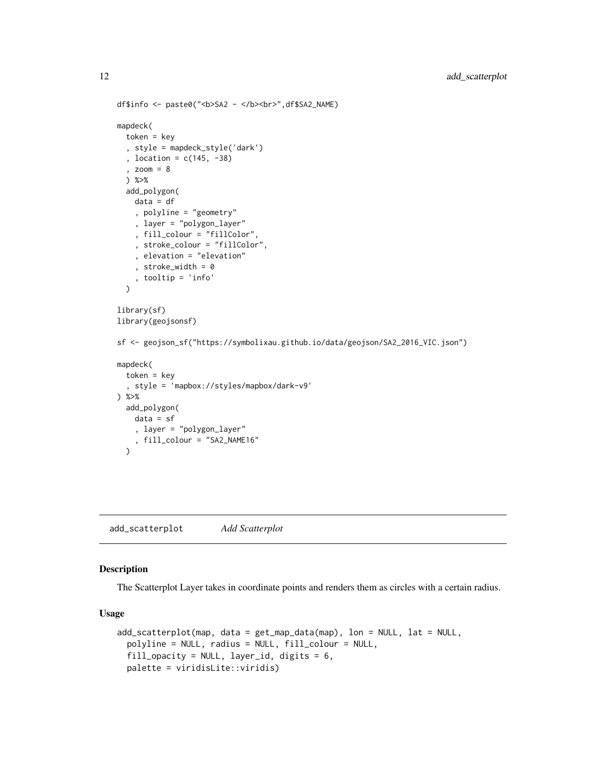```
df$info <- paste0("<b>SA2 - </b><br>",df$SA2_NAME)
mapdeck(
 token = key
  , style = mapdeck_style('dark')
  , location = c(145, -38)
  , zoom = 8
  ) %>%
  add_polygon(
   data = df
    , polyline = "geometry"
    , layer = "polygon_layer"
    , fill_colour = "fillColor",
    , stroke_colour = "fillColor",
    , elevation = "elevation"
    , stroke_width = 0
    , tooltip = 'info'
  \mathcal{L}library(sf)
library(geojsonsf)
sf <- geojson_sf("https://symbolixau.github.io/data/geojson/SA2_2016_VIC.json")
mapdeck(
  token = key
  , style = 'mapbox://styles/mapbox/dark-v9'
) %>%
  add_polygon(
   data = sf, layer = "polygon_layer"
    , fill_colour = "SA2_NAME16"
  )
```
add\_scatterplot *Add Scatterplot*

#### Description

The Scatterplot Layer takes in coordinate points and renders them as circles with a certain radius.

#### Usage

```
add_scatterplot(map, data = get_map_data(map), lon = NULL, lat = NULL,
 polyline = NULL, radius = NULL, fill_colour = NULL,
 fill_opacity = NULL, layer_id, digits = 6,
 palette = viridisLite::viridis)
```
<span id="page-11-0"></span>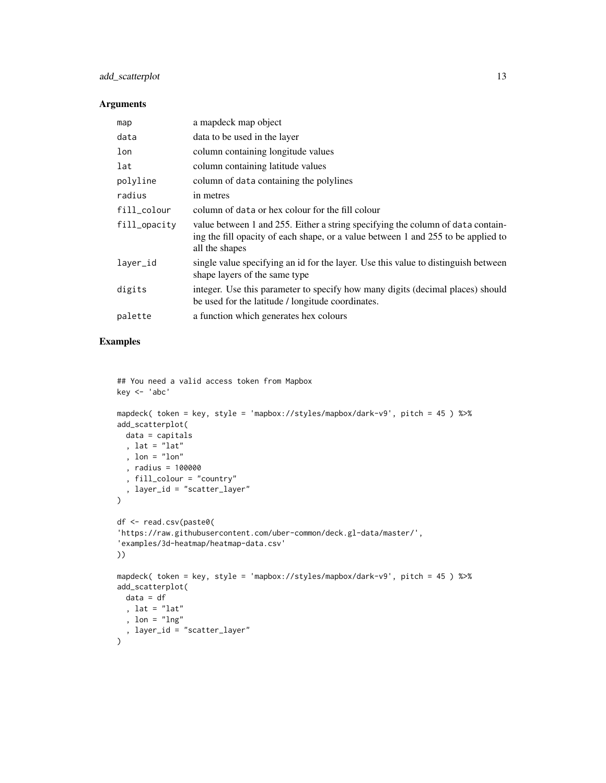# add\_scatterplot 13

#### Arguments

| map          | a mapdeck map object                                                                                                                                                                   |
|--------------|----------------------------------------------------------------------------------------------------------------------------------------------------------------------------------------|
| data         | data to be used in the layer                                                                                                                                                           |
| lon          | column containing longitude values                                                                                                                                                     |
| lat          | column containing latitude values                                                                                                                                                      |
| polyline     | column of data containing the polylines                                                                                                                                                |
| radius       | in metres                                                                                                                                                                              |
| fill_colour  | column of data or hex colour for the fill colour                                                                                                                                       |
| fill_opacity | value between 1 and 255. Either a string specifying the column of data contain-<br>ing the fill opacity of each shape, or a value between 1 and 255 to be applied to<br>all the shapes |
| layer_id     | single value specifying an id for the layer. Use this value to distinguish between<br>shape layers of the same type                                                                    |
| digits       | integer. Use this parameter to specify how many digits (decimal places) should<br>be used for the latitude / longitude coordinates.                                                    |
| palette      | a function which generates hex colours                                                                                                                                                 |

```
## You need a valid access token from Mapbox
key <- 'abc'
mapdeck( token = key, style = 'mapbox://styles/mapbox/dark-v9', pitch = 45 ) %>%
add_scatterplot(
 data = capitals
 , lat = "lat"
  , lon = "lon"
  , radius = 100000
  , fill_colour = "country"
  , layer_id = "scatter_layer"
\mathcal{L}df <- read.csv(paste0(
'https://raw.githubusercontent.com/uber-common/deck.gl-data/master/',
'examples/3d-heatmap/heatmap-data.csv'
))
mapdeck( token = key, style = 'mapbox://styles/mapbox/dark-v9', pitch = 45 ) %>%
add_scatterplot(
 data = df, lat = "lat"
  , lon = "lng"
  , layer_id = "scatter_layer"
)
```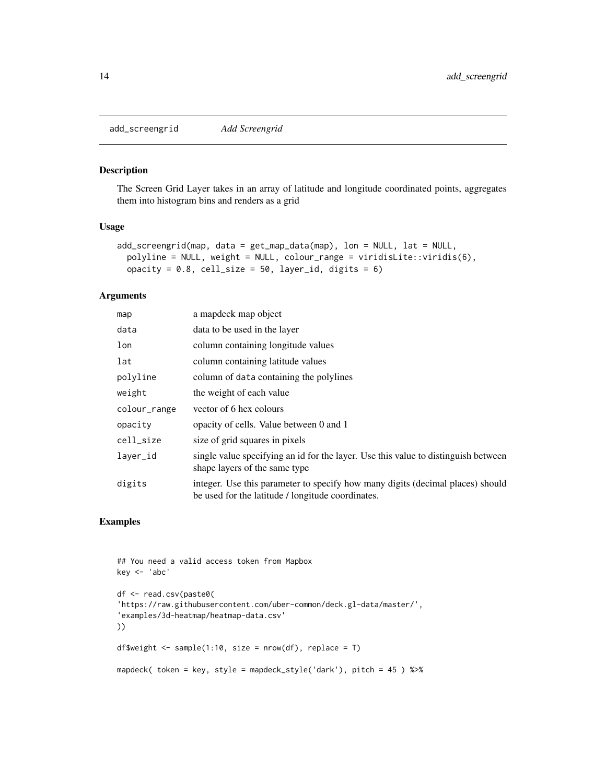<span id="page-13-0"></span>add\_screengrid *Add Screengrid*

#### Description

The Screen Grid Layer takes in an array of latitude and longitude coordinated points, aggregates them into histogram bins and renders as a grid

#### Usage

```
add_screengrid(map, data = get_map_data(map), lon = NULL, lat = NULL,
  polyline = NULL, weight = NULL, colour_range = viridisLite::viridis(6),
 opacity = 0.8, cell_size = 50, layer_id, digits = 6)
```
#### Arguments

| map          | a mapdeck map object                                                                                                                |  |
|--------------|-------------------------------------------------------------------------------------------------------------------------------------|--|
| data         | data to be used in the layer                                                                                                        |  |
| lon          | column containing longitude values                                                                                                  |  |
| lat          | column containing latitude values                                                                                                   |  |
| polyline     | column of data containing the polylines                                                                                             |  |
| weight       | the weight of each value                                                                                                            |  |
| colour_range | vector of 6 hex colours                                                                                                             |  |
| opacity      | opacity of cells. Value between 0 and 1                                                                                             |  |
| cell_size    | size of grid squares in pixels                                                                                                      |  |
| layer_id     | single value specifying an id for the layer. Use this value to distinguish between<br>shape layers of the same type                 |  |
| digits       | integer. Use this parameter to specify how many digits (decimal places) should<br>be used for the latitude / longitude coordinates. |  |

```
## You need a valid access token from Mapbox
key <- 'abc'
df <- read.csv(paste0(
'https://raw.githubusercontent.com/uber-common/deck.gl-data/master/',
'examples/3d-heatmap/heatmap-data.csv'
))
df$weight <- sample(1:10, size = nrow(df), replace = T)
mapdeck( token = key, style = mapdeck_style('dark'), pitch = 45 ) %>%
```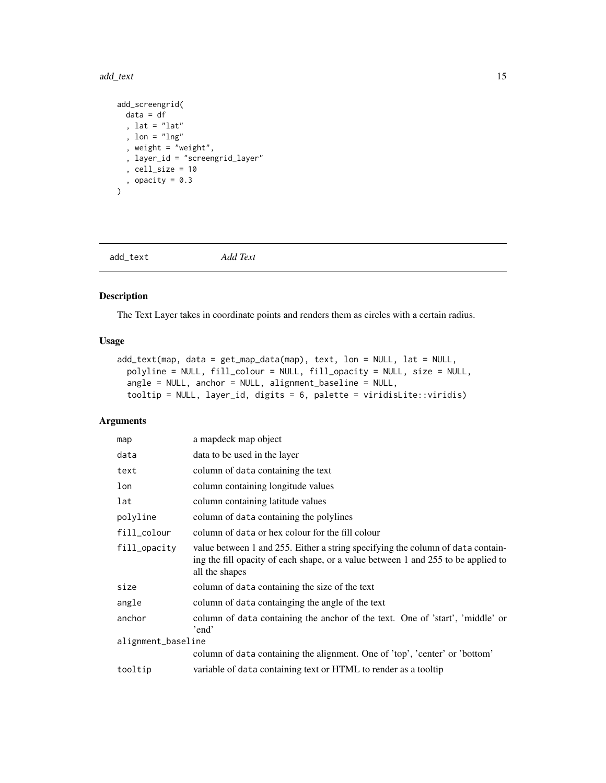#### <span id="page-14-0"></span>add\_text 15

```
add_screengrid(
 data = df
  , lat = "lat"
  , lon = "lng"
  , weight = "weight",
  , layer_id = "screengrid_layer"
  , cell_size = 10
 , opacity = 0.3\lambda
```
add\_text *Add Text*

# Description

The Text Layer takes in coordinate points and renders them as circles with a certain radius.

# Usage

```
add_text(map, data = get_map_data(map), text, lon = NULL, lat = NULL,
 polyline = NULL, fill_colour = NULL, fill_opacity = NULL, size = NULL,
  angle = NULL, anchor = NULL, alignment_baseline = NULL,
  tooltip = NULL, layer_id, digits = 6, palette = viridisLite::viridis)
```

| map                | a mapdeck map object                                                                                                                                                                   |
|--------------------|----------------------------------------------------------------------------------------------------------------------------------------------------------------------------------------|
| data               | data to be used in the layer                                                                                                                                                           |
| text               | column of data containing the text                                                                                                                                                     |
| lon                | column containing longitude values                                                                                                                                                     |
| lat                | column containing latitude values                                                                                                                                                      |
| polyline           | column of data containing the polylines                                                                                                                                                |
| fill_colour        | column of data or hex colour for the fill colour                                                                                                                                       |
| fill_opacity       | value between 1 and 255. Either a string specifying the column of data contain-<br>ing the fill opacity of each shape, or a value between 1 and 255 to be applied to<br>all the shapes |
| size               | column of data containing the size of the text                                                                                                                                         |
| angle              | column of data containging the angle of the text                                                                                                                                       |
| anchor             | column of data containing the anchor of the text. One of 'start', 'middle' or<br>'end'                                                                                                 |
| alignment_baseline |                                                                                                                                                                                        |
|                    | column of data containing the alignment. One of 'top', 'center' or 'bottom'                                                                                                            |
| tooltip            | variable of data containing text or HTML to render as a tooltip                                                                                                                        |
|                    |                                                                                                                                                                                        |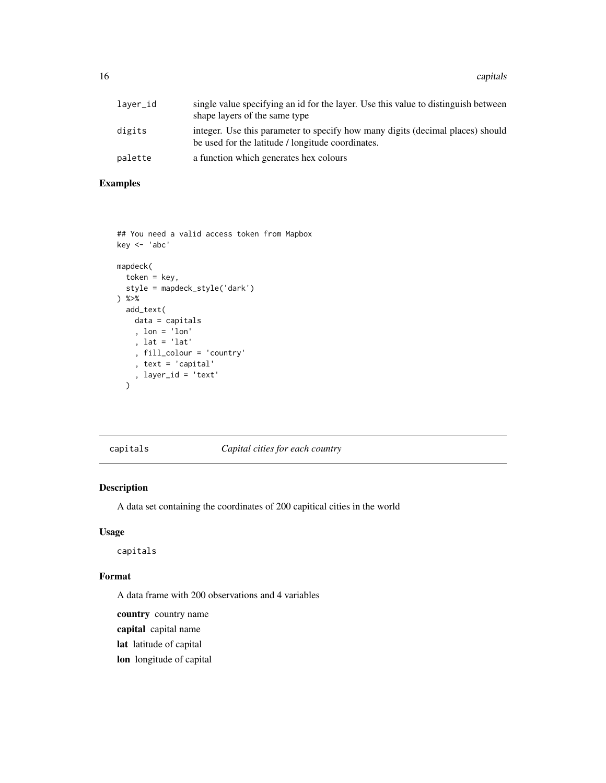<span id="page-15-0"></span>16 capitals and the contract of the contract of the contract of the contract of the contract of the contract of the contract of the contract of the contract of the contract of the contract of the contract of the contract o

| laver_id | single value specifying an id for the layer. Use this value to distinguish between<br>shape layers of the same type                 |
|----------|-------------------------------------------------------------------------------------------------------------------------------------|
| digits   | integer. Use this parameter to specify how many digits (decimal places) should<br>be used for the latitude / longitude coordinates. |
| palette  | a function which generates hex colours                                                                                              |

# Examples

```
## You need a valid access token from Mapbox
key <- 'abc'
mapdeck(
  token = key,
  style = mapdeck_style('dark')
) %>%
  add_text(
   data = capitals
    , lon = 'lon'
    , lat = 'lat'
    , fill_colour = 'country'
    , text = 'capital'
    , layer_id = 'text'
  \mathcal{L}
```
capitals *Capital cities for each country*

# Description

A data set containing the coordinates of 200 capitical cities in the world

#### Usage

capitals

#### Format

A data frame with 200 observations and 4 variables

country country name

capital capital name

lat latitude of capital

lon longitude of capital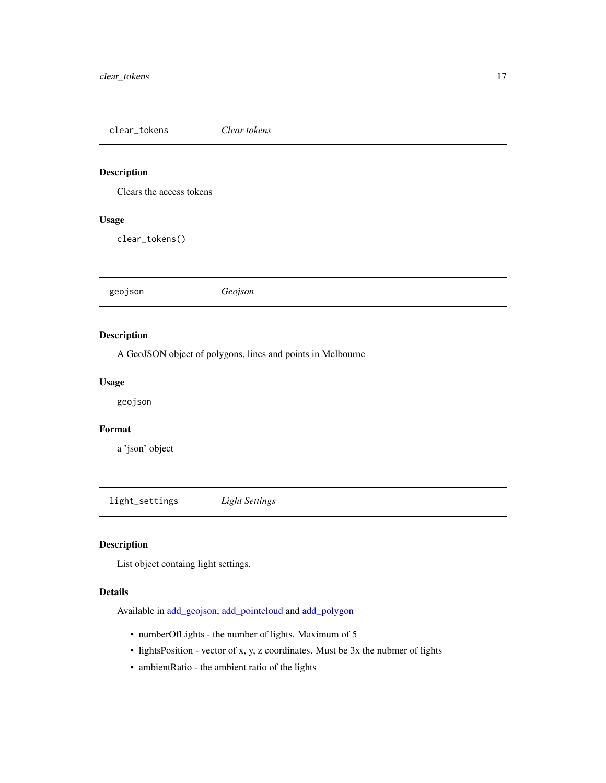<span id="page-16-0"></span>clear\_tokens *Clear tokens*

# Description

Clears the access tokens

#### Usage

clear\_tokens()

geojson *Geojson*

# Description

A GeoJSON object of polygons, lines and points in Melbourne

#### Usage

geojson

# Format

a 'json' object

<span id="page-16-1"></span>light\_settings *Light Settings*

# Description

List object containg light settings.

#### Details

Available in [add\\_geojson,](#page-3-1) [add\\_pointcloud](#page-8-1) and [add\\_polygon](#page-10-1)

- numberOfLights the number of lights. Maximum of 5
- lightsPosition vector of x, y, z coordinates. Must be 3x the nubmer of lights
- ambientRatio the ambient ratio of the lights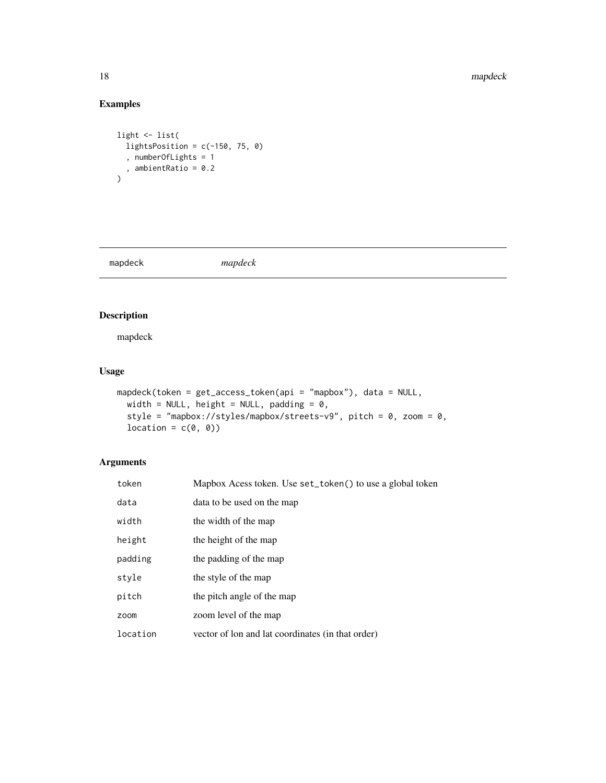#### 18 mapdeck

# Examples

```
light <- list(
  lightsPosition = c(-150, 75, 0), numberOfLights = 1
  , ambientRatio = 0.2
\mathcal{L}
```
<span id="page-17-1"></span>mapdeck *mapdeck*

# Description

mapdeck

# Usage

```
mapdeck(token = get_access_token(api = "mapbox"), data = NULL,
 width = NULL, height = NULL, padding = 0,
  style = "mapbox://styles/mapbox/streets-v9", pitch = 0, zoom = 0,
  location = c(\emptyset, \emptyset)
```

| token    | Mapbox Acess token. Use set_token() to use a global token |
|----------|-----------------------------------------------------------|
| data     | data to be used on the map                                |
| width    | the width of the map                                      |
| height   | the height of the map                                     |
| padding  | the padding of the map                                    |
| style    | the style of the map                                      |
| pitch    | the pitch angle of the map                                |
| zoom     | zoom level of the map                                     |
| location | vector of lon and lat coordinates (in that order)         |

<span id="page-17-0"></span>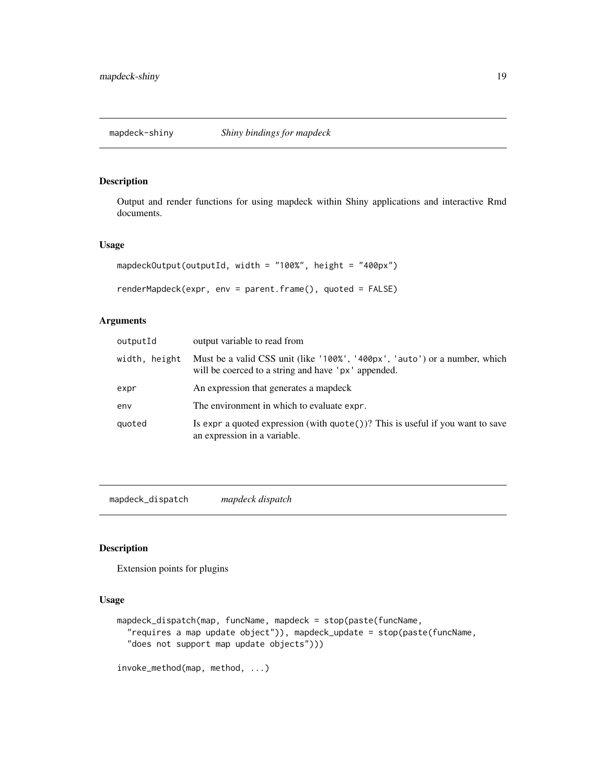<span id="page-18-0"></span>

#### Description

Output and render functions for using mapdeck within Shiny applications and interactive Rmd documents.

#### Usage

```
mapdeckOutput(outputId, width = "100%", height = "400px")
renderMapdeck(expr, env = parent.frame(), quoted = FALSE)
```
# Arguments

| output variable to read from                                                                                                      |
|-----------------------------------------------------------------------------------------------------------------------------------|
| Must be a valid CSS unit (like '100%', '400px', 'auto') or a number, which<br>will be coerced to a string and have 'px' appended. |
| An expression that generates a mapdeck                                                                                            |
| The environment in which to evaluate expr.                                                                                        |
| Is expr a quoted expression (with $\text{quote}()$ )? This is useful if you want to save<br>an expression in a variable.          |
|                                                                                                                                   |

mapdeck\_dispatch *mapdeck dispatch*

# Description

Extension points for plugins

#### Usage

```
mapdeck_dispatch(map, funcName, mapdeck = stop(paste(funcName,
  "requires a map update object")), mapdeck_update = stop(paste(funcName,
  "does not support map update objects")))
```
invoke\_method(map, method, ...)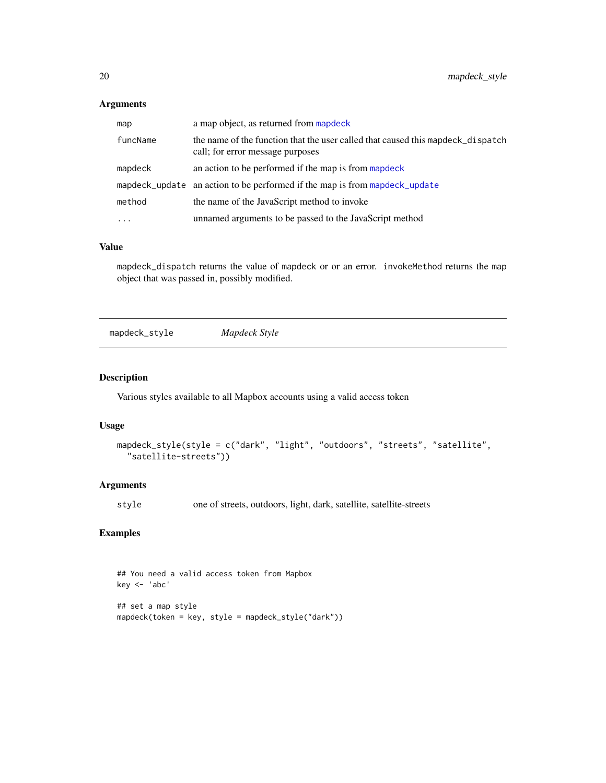#### <span id="page-19-0"></span>Arguments

| map      | a map object, as returned from mapdeck                                                                              |  |
|----------|---------------------------------------------------------------------------------------------------------------------|--|
| funcName | the name of the function that the user called that caused this mapdeck_dispatch<br>call; for error message purposes |  |
| mapdeck  | an action to be performed if the map is from mappeck                                                                |  |
|          | mapdeck_update an action to be performed if the map is from mapdeck_update                                          |  |
| method   | the name of the JavaScript method to invoke                                                                         |  |
| $\cdots$ | unnamed arguments to be passed to the JavaScript method                                                             |  |

#### Value

mapdeck\_dispatch returns the value of mapdeck or or an error. invokeMethod returns the map object that was passed in, possibly modified.

mapdeck\_style *Mapdeck Style*

#### Description

Various styles available to all Mapbox accounts using a valid access token

#### Usage

```
mapdeck_style(style = c("dark", "light", "outdoors", "streets", "satellite",
  "satellite-streets"))
```
#### Arguments

style one of streets, outdoors, light, dark, satellite, satellite-streets

```
## You need a valid access token from Mapbox
key <- 'abc'
## set a map style
mapdeck(token = key, style = mapdeck_style("dark"))
```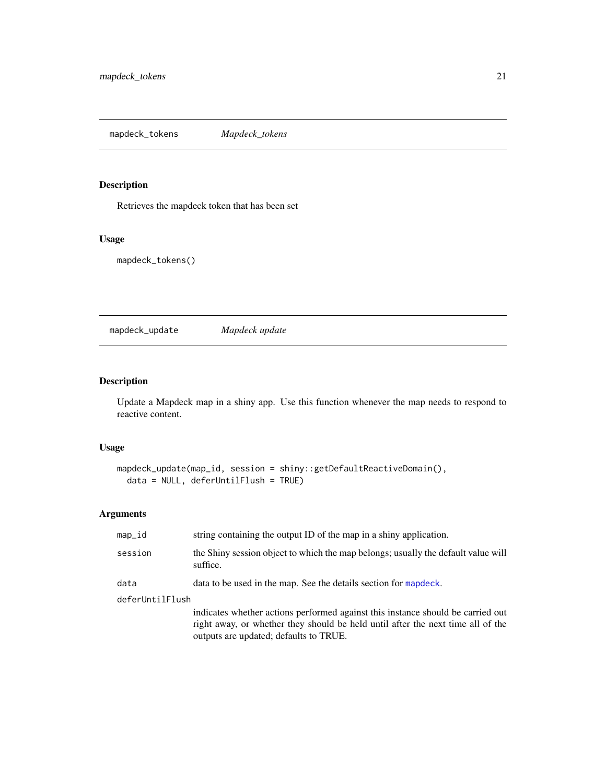<span id="page-20-0"></span>mapdeck\_tokens *Mapdeck\_tokens*

# Description

Retrieves the mapdeck token that has been set

# Usage

mapdeck\_tokens()

<span id="page-20-1"></span>mapdeck\_update *Mapdeck update*

# Description

Update a Mapdeck map in a shiny app. Use this function whenever the map needs to respond to reactive content.

# Usage

```
mapdeck_update(map_id, session = shiny::getDefaultReactiveDomain(),
 data = NULL, deferUntilFlush = TRUE)
```

| map_id          | string containing the output ID of the map in a shiny application.                                                                                                                                           |
|-----------------|--------------------------------------------------------------------------------------------------------------------------------------------------------------------------------------------------------------|
| session         | the Shiny session object to which the map belongs; usually the default value will<br>suffice.                                                                                                                |
| data            | data to be used in the map. See the details section for mapdeck.                                                                                                                                             |
| deferUntilFlush |                                                                                                                                                                                                              |
|                 | indicates whether actions performed against this instance should be carried out<br>right away, or whether they should be held until after the next time all of the<br>outputs are updated; defaults to TRUE. |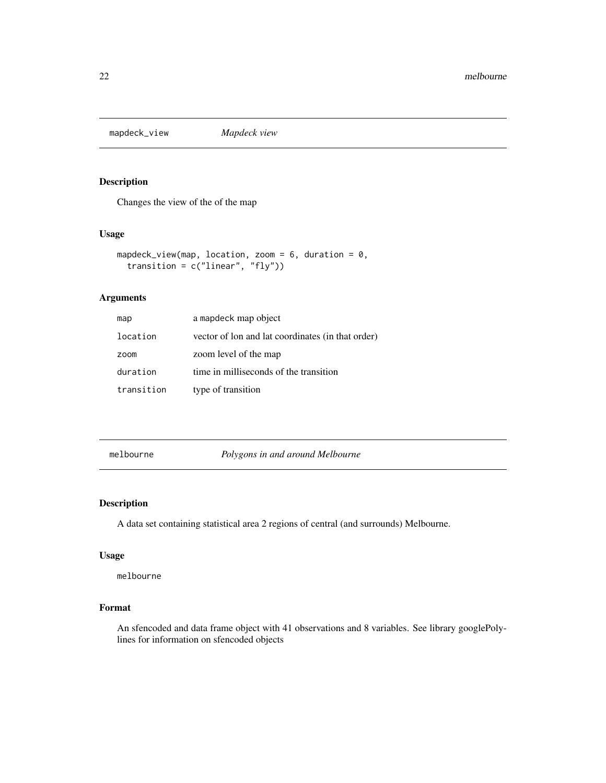<span id="page-21-0"></span>mapdeck\_view *Mapdeck view*

# Description

Changes the view of the of the map

#### Usage

```
mapdeck_view(map, location, zoom = 6, duration = 0,
  transition = c("linear", "fly"))
```
# Arguments

| map        | a mapdeck map object                              |
|------------|---------------------------------------------------|
| location   | vector of lon and lat coordinates (in that order) |
| zoom       | zoom level of the map                             |
| duration   | time in milliseconds of the transition            |
| transition | type of transition                                |

melbourne *Polygons in and around Melbourne*

# Description

A data set containing statistical area 2 regions of central (and surrounds) Melbourne.

#### Usage

melbourne

#### Format

An sfencoded and data frame object with 41 observations and 8 variables. See library googlePolylines for information on sfencoded objects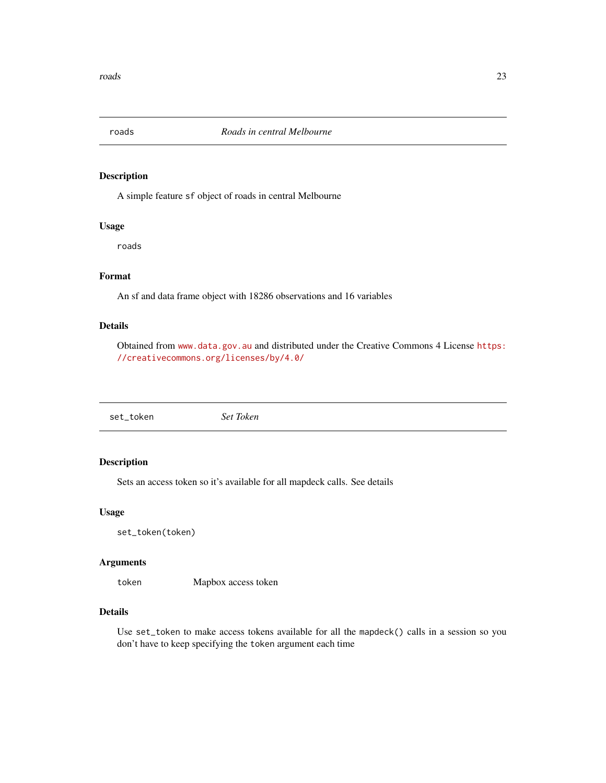<span id="page-22-0"></span>

#### Description

A simple feature sf object of roads in central Melbourne

# Usage

roads

# Format

An sf and data frame object with 18286 observations and 16 variables

# Details

Obtained from <www.data.gov.au> and distributed under the Creative Commons 4 License [https:](https://creativecommons.org/licenses/by/4.0/) [//creativecommons.org/licenses/by/4.0/](https://creativecommons.org/licenses/by/4.0/)

set\_token *Set Token*

#### Description

Sets an access token so it's available for all mapdeck calls. See details

#### Usage

set\_token(token)

#### Arguments

token Mapbox access token

#### Details

Use set\_token to make access tokens available for all the mapdeck() calls in a session so you don't have to keep specifying the token argument each time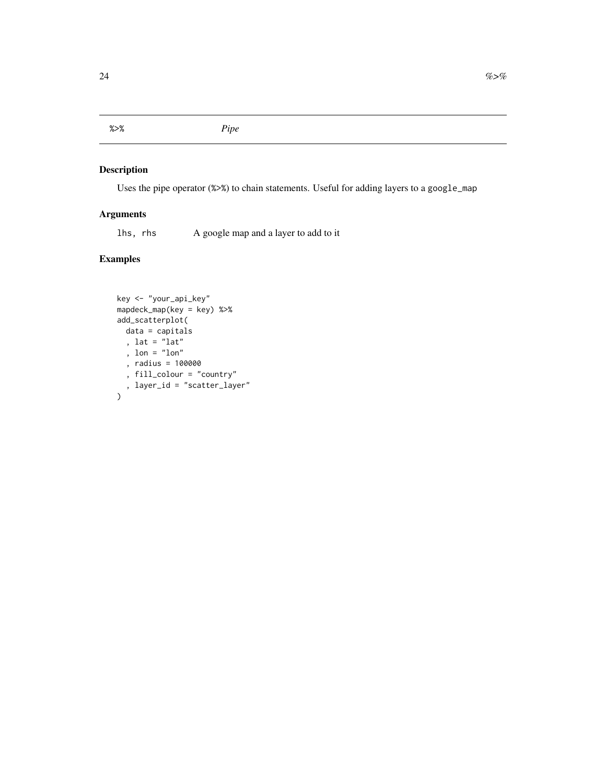<span id="page-23-0"></span>%>% *Pipe*

# Description

Uses the pipe operator (%>%) to chain statements. Useful for adding layers to a google\_map

# Arguments

lhs, rhs A google map and a layer to add to it

```
key <- "your_api_key"
mapdeck_map(key = key) %>%
add_scatterplot(
  data = capitals
  , lat = "lat"
  , lon = "lon"
  , radius = 100000
  , fill_colour = "country"
  , layer_id = "scatter_layer"
\mathcal{L}
```